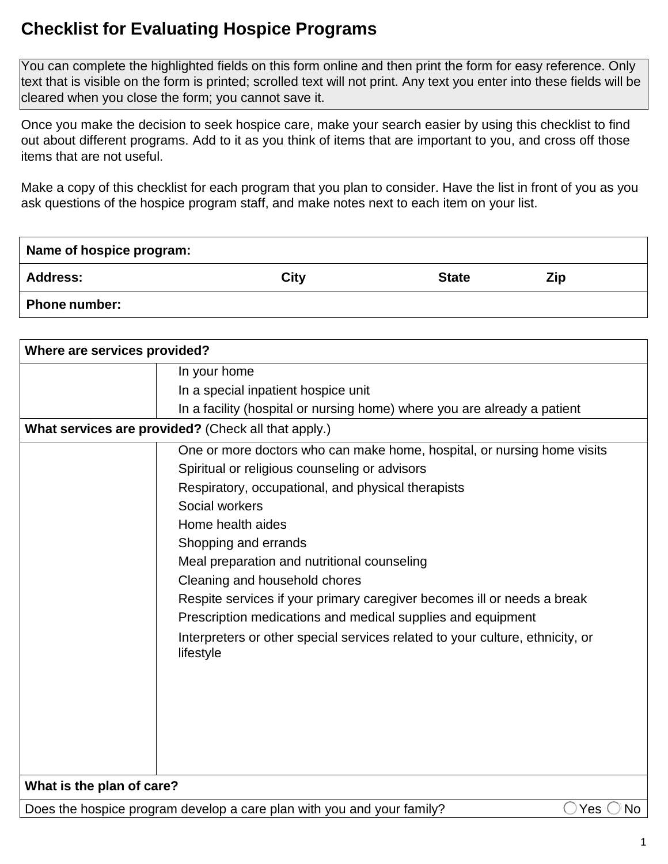## **Checklist for Evaluating Hospice Programs**

 You can complete the highlighted fields on this form online and then print the form for easy reference. Only text that is visible on the form is printed; scrolled text will not print. Any text you enter into these fields will be cleared when you close the form; you cannot save it.

 Once you make the decision to seek hospice care, make your search easier by using this checklist to find out about different programs. Add to it as you think of items that are important to you, and cross off those items that are not useful.

 Make a copy of this checklist for each program that you plan to consider. Have the list in front of you as you ask questions of the hospice program staff, and make notes next to each item on your list.

| Name of hospice program: |             |              |     |
|--------------------------|-------------|--------------|-----|
| <b>Address:</b>          | <b>City</b> | <b>State</b> | Zip |
| <b>Phone number:</b>     |             |              |     |

| Where are services provided?                        |                                                                                            |  |  |  |
|-----------------------------------------------------|--------------------------------------------------------------------------------------------|--|--|--|
|                                                     | In your home                                                                               |  |  |  |
|                                                     | In a special inpatient hospice unit                                                        |  |  |  |
|                                                     | In a facility (hospital or nursing home) where you are already a patient                   |  |  |  |
| What services are provided? (Check all that apply.) |                                                                                            |  |  |  |
|                                                     | One or more doctors who can make home, hospital, or nursing home visits                    |  |  |  |
|                                                     | Spiritual or religious counseling or advisors                                              |  |  |  |
|                                                     | Respiratory, occupational, and physical therapists                                         |  |  |  |
|                                                     | Social workers                                                                             |  |  |  |
|                                                     | Home health aides                                                                          |  |  |  |
|                                                     | Shopping and errands                                                                       |  |  |  |
|                                                     | Meal preparation and nutritional counseling                                                |  |  |  |
|                                                     | Cleaning and household chores                                                              |  |  |  |
|                                                     | Respite services if your primary caregiver becomes ill or needs a break                    |  |  |  |
|                                                     | Prescription medications and medical supplies and equipment                                |  |  |  |
|                                                     | Interpreters or other special services related to your culture, ethnicity, or<br>lifestyle |  |  |  |
|                                                     |                                                                                            |  |  |  |
|                                                     |                                                                                            |  |  |  |
|                                                     |                                                                                            |  |  |  |
|                                                     |                                                                                            |  |  |  |
| What is the plan of care?                           |                                                                                            |  |  |  |
|                                                     | Does the hospice program develop a care plan with you and your family?<br><b>No</b><br>Yes |  |  |  |